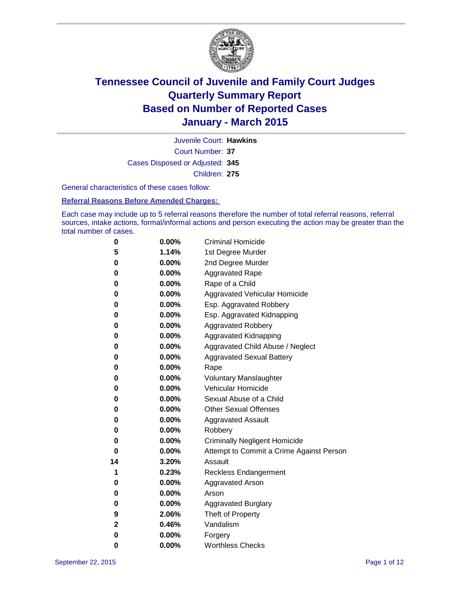

Court Number: **37** Juvenile Court: **Hawkins** Cases Disposed or Adjusted: **345** Children: **275**

General characteristics of these cases follow:

### **Referral Reasons Before Amended Charges:**

Each case may include up to 5 referral reasons therefore the number of total referral reasons, referral sources, intake actions, formal/informal actions and person executing the action may be greater than the total number of cases.

| 0  | $0.00\%$ | <b>Criminal Homicide</b>                 |
|----|----------|------------------------------------------|
| 5  | 1.14%    | 1st Degree Murder                        |
| 0  | 0.00%    | 2nd Degree Murder                        |
| 0  | $0.00\%$ | <b>Aggravated Rape</b>                   |
| 0  | $0.00\%$ | Rape of a Child                          |
| 0  | 0.00%    | Aggravated Vehicular Homicide            |
| 0  | 0.00%    | Esp. Aggravated Robbery                  |
| 0  | $0.00\%$ | Esp. Aggravated Kidnapping               |
| 0  | 0.00%    | <b>Aggravated Robbery</b>                |
| 0  | 0.00%    | <b>Aggravated Kidnapping</b>             |
| 0  | 0.00%    | Aggravated Child Abuse / Neglect         |
| 0  | 0.00%    | <b>Aggravated Sexual Battery</b>         |
| 0  | 0.00%    | Rape                                     |
| 0  | $0.00\%$ | <b>Voluntary Manslaughter</b>            |
| 0  | 0.00%    | <b>Vehicular Homicide</b>                |
| 0  | 0.00%    | Sexual Abuse of a Child                  |
| 0  | 0.00%    | <b>Other Sexual Offenses</b>             |
| 0  | 0.00%    | <b>Aggravated Assault</b>                |
| 0  | 0.00%    | Robbery                                  |
| 0  | 0.00%    | <b>Criminally Negligent Homicide</b>     |
| 0  | 0.00%    | Attempt to Commit a Crime Against Person |
| 14 | 3.20%    | Assault                                  |
| 1  | 0.23%    | <b>Reckless Endangerment</b>             |
| 0  | $0.00\%$ | <b>Aggravated Arson</b>                  |
| 0  | 0.00%    | Arson                                    |
| 0  | 0.00%    | <b>Aggravated Burglary</b>               |
| 9  | 2.06%    | Theft of Property                        |
| 2  | 0.46%    | Vandalism                                |
| 0  | 0.00%    | Forgery                                  |
| 0  | 0.00%    | <b>Worthless Checks</b>                  |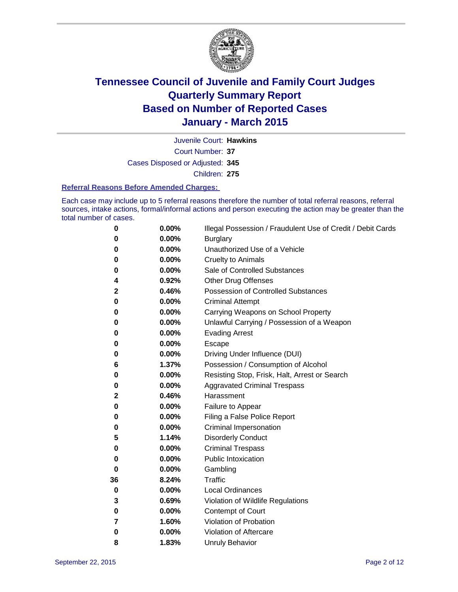

Court Number: **37** Juvenile Court: **Hawkins** Cases Disposed or Adjusted: **345** Children: **275**

#### **Referral Reasons Before Amended Charges:**

Each case may include up to 5 referral reasons therefore the number of total referral reasons, referral sources, intake actions, formal/informal actions and person executing the action may be greater than the total number of cases.

| 0        | 0.00% | Illegal Possession / Fraudulent Use of Credit / Debit Cards |
|----------|-------|-------------------------------------------------------------|
| 0        | 0.00% | <b>Burglary</b>                                             |
| 0        | 0.00% | Unauthorized Use of a Vehicle                               |
| 0        | 0.00% | <b>Cruelty to Animals</b>                                   |
| 0        | 0.00% | Sale of Controlled Substances                               |
| 4        | 0.92% | <b>Other Drug Offenses</b>                                  |
| 2        | 0.46% | Possession of Controlled Substances                         |
| 0        | 0.00% | <b>Criminal Attempt</b>                                     |
| 0        | 0.00% | Carrying Weapons on School Property                         |
| 0        | 0.00% | Unlawful Carrying / Possession of a Weapon                  |
| 0        | 0.00% | <b>Evading Arrest</b>                                       |
| 0        | 0.00% | Escape                                                      |
| 0        | 0.00% | Driving Under Influence (DUI)                               |
| 6        | 1.37% | Possession / Consumption of Alcohol                         |
| 0        | 0.00% | Resisting Stop, Frisk, Halt, Arrest or Search               |
| 0        | 0.00% | <b>Aggravated Criminal Trespass</b>                         |
| 2        | 0.46% | Harassment                                                  |
| 0        | 0.00% | Failure to Appear                                           |
| 0        | 0.00% | Filing a False Police Report                                |
| 0        | 0.00% | Criminal Impersonation                                      |
| 5        | 1.14% | <b>Disorderly Conduct</b>                                   |
| 0        | 0.00% | <b>Criminal Trespass</b>                                    |
| 0        | 0.00% | <b>Public Intoxication</b>                                  |
| $\bf{0}$ | 0.00% | Gambling                                                    |
| 36       | 8.24% | <b>Traffic</b>                                              |
| 0        | 0.00% | <b>Local Ordinances</b>                                     |
| 3        | 0.69% | Violation of Wildlife Regulations                           |
| 0        | 0.00% | Contempt of Court                                           |
| 7        | 1.60% | Violation of Probation                                      |
| 0        | 0.00% | Violation of Aftercare                                      |
| 8        | 1.83% | <b>Unruly Behavior</b>                                      |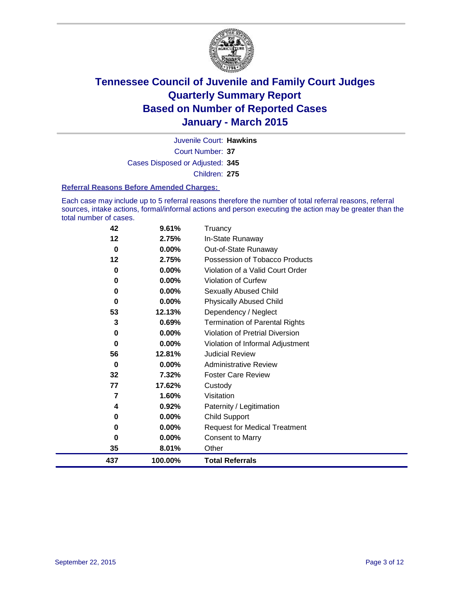

Court Number: **37** Juvenile Court: **Hawkins** Cases Disposed or Adjusted: **345** Children: **275**

### **Referral Reasons Before Amended Charges:**

Each case may include up to 5 referral reasons therefore the number of total referral reasons, referral sources, intake actions, formal/informal actions and person executing the action may be greater than the total number of cases.

| 42  | 9.61%   | Truancy                                |
|-----|---------|----------------------------------------|
| 12  | 2.75%   | In-State Runaway                       |
| 0   | 0.00%   | Out-of-State Runaway                   |
| 12  | 2.75%   | Possession of Tobacco Products         |
| 0   | 0.00%   | Violation of a Valid Court Order       |
| 0   | 0.00%   | <b>Violation of Curfew</b>             |
| 0   | 0.00%   | Sexually Abused Child                  |
| 0   | 0.00%   | <b>Physically Abused Child</b>         |
| 53  | 12.13%  | Dependency / Neglect                   |
| 3   | 0.69%   | <b>Termination of Parental Rights</b>  |
| 0   | 0.00%   | <b>Violation of Pretrial Diversion</b> |
| 0   | 0.00%   | Violation of Informal Adjustment       |
| 56  | 12.81%  | <b>Judicial Review</b>                 |
| 0   | 0.00%   | <b>Administrative Review</b>           |
| 32  | 7.32%   | <b>Foster Care Review</b>              |
| 77  | 17.62%  | Custody                                |
| 7   | 1.60%   | Visitation                             |
| 4   | 0.92%   | Paternity / Legitimation               |
| 0   | 0.00%   | <b>Child Support</b>                   |
| 0   | 0.00%   | <b>Request for Medical Treatment</b>   |
| 0   | 0.00%   | <b>Consent to Marry</b>                |
| 35  | 8.01%   | Other                                  |
| 437 | 100.00% | <b>Total Referrals</b>                 |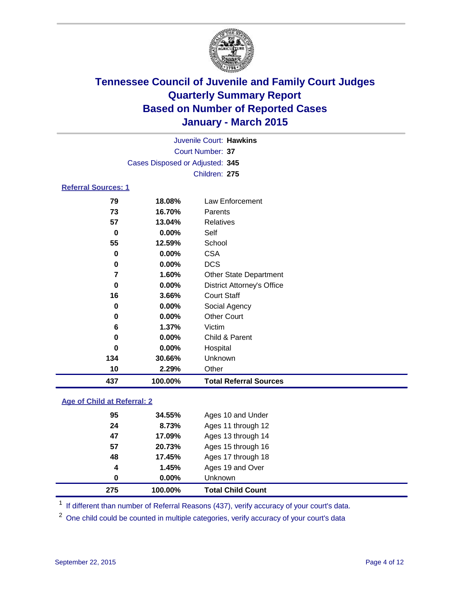

| Juvenile Court: Hawkins         |  |
|---------------------------------|--|
| Court Number: 37                |  |
| Cases Disposed or Adjusted: 345 |  |
| Children: 275                   |  |

### **Referral Sources: 1**

| 437 | 100.00%  | <b>Total Referral Sources</b>     |
|-----|----------|-----------------------------------|
| 10  | 2.29%    | Other                             |
| 134 | 30.66%   | Unknown                           |
| 0   | 0.00%    | Hospital                          |
| 0   | $0.00\%$ | Child & Parent                    |
| 6   | 1.37%    | Victim                            |
| 0   | $0.00\%$ | <b>Other Court</b>                |
| 0   | $0.00\%$ | Social Agency                     |
| 16  | 3.66%    | <b>Court Staff</b>                |
| 0   | $0.00\%$ | <b>District Attorney's Office</b> |
| 7   | 1.60%    | <b>Other State Department</b>     |
| 0   | $0.00\%$ | <b>DCS</b>                        |
| 0   | $0.00\%$ | <b>CSA</b>                        |
| 55  | 12.59%   | School                            |
| 0   | $0.00\%$ | Self                              |
| 57  | 13.04%   | Relatives                         |
| 73  | 16.70%   | Parents                           |
| 79  | 18.08%   | Law Enforcement                   |

### **Age of Child at Referral: 2**

| 275 | 100.00%  | <b>Total Child Count</b> |
|-----|----------|--------------------------|
| 0   | $0.00\%$ | <b>Unknown</b>           |
| 4   | 1.45%    | Ages 19 and Over         |
| 48  | 17.45%   | Ages 17 through 18       |
| 57  | 20.73%   | Ages 15 through 16       |
| 47  | 17.09%   | Ages 13 through 14       |
| 24  | 8.73%    | Ages 11 through 12       |
| 95  | 34.55%   | Ages 10 and Under        |

<sup>1</sup> If different than number of Referral Reasons (437), verify accuracy of your court's data.

One child could be counted in multiple categories, verify accuracy of your court's data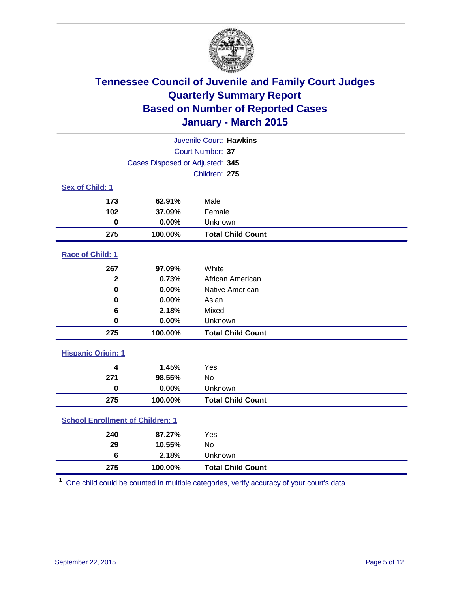

| Juvenile Court: Hawkins                 |                                 |                          |  |  |  |
|-----------------------------------------|---------------------------------|--------------------------|--|--|--|
| Court Number: 37                        |                                 |                          |  |  |  |
|                                         | Cases Disposed or Adjusted: 345 |                          |  |  |  |
|                                         |                                 | Children: 275            |  |  |  |
| Sex of Child: 1                         |                                 |                          |  |  |  |
| 173                                     | 62.91%                          | Male                     |  |  |  |
| 102                                     | 37.09%                          | Female                   |  |  |  |
| $\bf{0}$                                | 0.00%                           | Unknown                  |  |  |  |
| 275                                     | 100.00%                         | <b>Total Child Count</b> |  |  |  |
| Race of Child: 1                        |                                 |                          |  |  |  |
| 267                                     | 97.09%                          | White                    |  |  |  |
| $\mathbf{2}$                            | 0.73%                           | African American         |  |  |  |
| 0                                       | 0.00%                           | Native American          |  |  |  |
| $\bf{0}$                                | 0.00%                           | Asian                    |  |  |  |
| 6                                       | 2.18%                           | Mixed                    |  |  |  |
| 0                                       | 0.00%                           | Unknown                  |  |  |  |
| 275                                     | 100.00%                         | <b>Total Child Count</b> |  |  |  |
| <b>Hispanic Origin: 1</b>               |                                 |                          |  |  |  |
| 4                                       | 1.45%                           | Yes                      |  |  |  |
| 271                                     | 98.55%                          | <b>No</b>                |  |  |  |
| $\bf{0}$                                | 0.00%                           | Unknown                  |  |  |  |
| 275                                     | 100.00%                         | <b>Total Child Count</b> |  |  |  |
| <b>School Enrollment of Children: 1</b> |                                 |                          |  |  |  |
| 240                                     | 87.27%                          | Yes                      |  |  |  |
| 29                                      | 10.55%                          | <b>No</b>                |  |  |  |
| 6                                       | 2.18%                           | Unknown                  |  |  |  |
| 275                                     | 100.00%                         | <b>Total Child Count</b> |  |  |  |

One child could be counted in multiple categories, verify accuracy of your court's data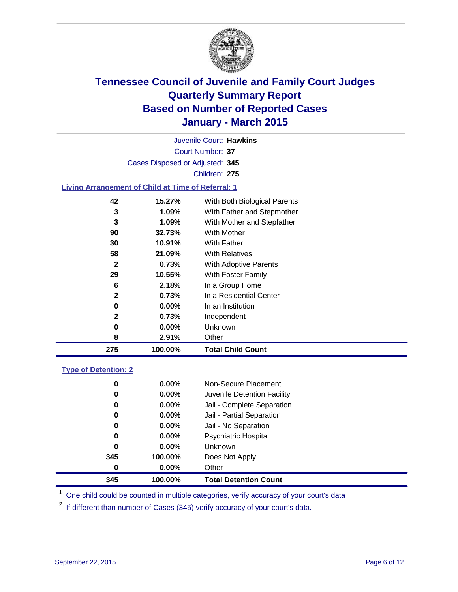

Court Number: **37** Juvenile Court: **Hawkins** Cases Disposed or Adjusted: **345** Children: **275**

### **Living Arrangement of Child at Time of Referral: 1**

| 275 | 100.00%  | <b>Total Child Count</b>     |
|-----|----------|------------------------------|
| 8   | 2.91%    | Other                        |
| 0   | $0.00\%$ | Unknown                      |
| 2   | 0.73%    | Independent                  |
| 0   | $0.00\%$ | In an Institution            |
| 2   | 0.73%    | In a Residential Center      |
| 6   | 2.18%    | In a Group Home              |
| 29  | 10.55%   | With Foster Family           |
| 2   | 0.73%    | With Adoptive Parents        |
| 58  | 21.09%   | <b>With Relatives</b>        |
| 30  | 10.91%   | With Father                  |
| 90  | 32.73%   | With Mother                  |
| 3   | 1.09%    | With Mother and Stepfather   |
| 3   | 1.09%    | With Father and Stepmother   |
| 42  | 15.27%   | With Both Biological Parents |
|     |          |                              |

#### **Type of Detention: 2**

| 0<br>0<br>0<br>0<br>0<br>0<br>0<br>345 | $0.00\%$<br>$0.00\%$<br>$0.00\%$<br>0.00%<br>$0.00\%$<br>$0.00\%$<br>$0.00\%$<br>100.00% | Non-Secure Placement<br>Juvenile Detention Facility<br>Jail - Complete Separation<br>Jail - Partial Separation<br>Jail - No Separation<br><b>Psychiatric Hospital</b><br><b>Unknown</b><br>Does Not Apply |
|----------------------------------------|------------------------------------------------------------------------------------------|-----------------------------------------------------------------------------------------------------------------------------------------------------------------------------------------------------------|
| 0                                      | $0.00\%$                                                                                 | Other                                                                                                                                                                                                     |
| 345                                    | 100.00%                                                                                  | <b>Total Detention Count</b>                                                                                                                                                                              |

<sup>1</sup> One child could be counted in multiple categories, verify accuracy of your court's data

If different than number of Cases (345) verify accuracy of your court's data.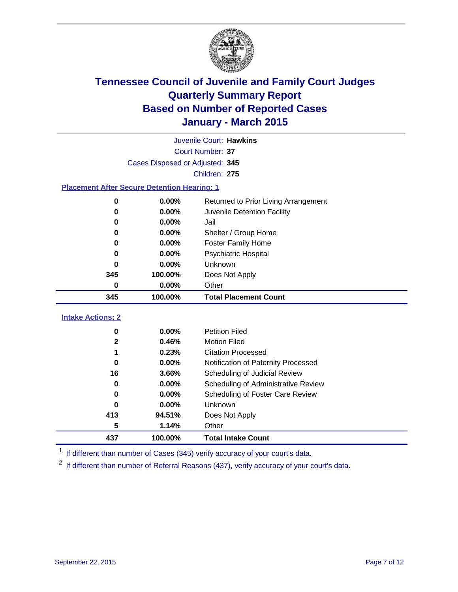

| Juvenile Court: Hawkins                            |                                              |                                      |  |  |  |  |  |
|----------------------------------------------------|----------------------------------------------|--------------------------------------|--|--|--|--|--|
|                                                    | <b>Court Number: 37</b>                      |                                      |  |  |  |  |  |
|                                                    | Cases Disposed or Adjusted: 345              |                                      |  |  |  |  |  |
|                                                    |                                              | Children: 275                        |  |  |  |  |  |
| <b>Placement After Secure Detention Hearing: 1</b> |                                              |                                      |  |  |  |  |  |
| 0                                                  | $0.00\%$                                     | Returned to Prior Living Arrangement |  |  |  |  |  |
| 0                                                  | $0.00\%$                                     | Juvenile Detention Facility          |  |  |  |  |  |
| 0                                                  | 0.00%                                        | Jail                                 |  |  |  |  |  |
| 0                                                  | $0.00\%$                                     | Shelter / Group Home                 |  |  |  |  |  |
| 0                                                  | 0.00%<br><b>Foster Family Home</b>           |                                      |  |  |  |  |  |
| 0.00%<br>Psychiatric Hospital<br>0                 |                                              |                                      |  |  |  |  |  |
| O                                                  | Unknown<br>0.00%                             |                                      |  |  |  |  |  |
| 345                                                | 100.00%                                      | Does Not Apply                       |  |  |  |  |  |
| 0                                                  | $0.00\%$                                     | Other                                |  |  |  |  |  |
| 345                                                | 100.00%                                      | <b>Total Placement Count</b>         |  |  |  |  |  |
| <b>Intake Actions: 2</b>                           |                                              |                                      |  |  |  |  |  |
| 0                                                  | 0.00%<br><b>Petition Filed</b>               |                                      |  |  |  |  |  |
| 2                                                  | 0.46%<br><b>Motion Filed</b>                 |                                      |  |  |  |  |  |
|                                                    | 0.23%<br><b>Citation Processed</b>           |                                      |  |  |  |  |  |
| 0                                                  | 0.00%                                        | Notification of Paternity Processed  |  |  |  |  |  |
| 16                                                 | 3.66%                                        | Scheduling of Judicial Review        |  |  |  |  |  |
| 0                                                  | 0.00%<br>Scheduling of Administrative Review |                                      |  |  |  |  |  |
| Scheduling of Foster Care Review<br>$0.00\%$<br>0  |                                              |                                      |  |  |  |  |  |

<sup>1</sup> If different than number of Cases (345) verify accuracy of your court's data.

**100.00% Total Intake Count**

 **0.00%** Unknown **94.51%** Does Not Apply

**1.14%** Other

If different than number of Referral Reasons (437), verify accuracy of your court's data.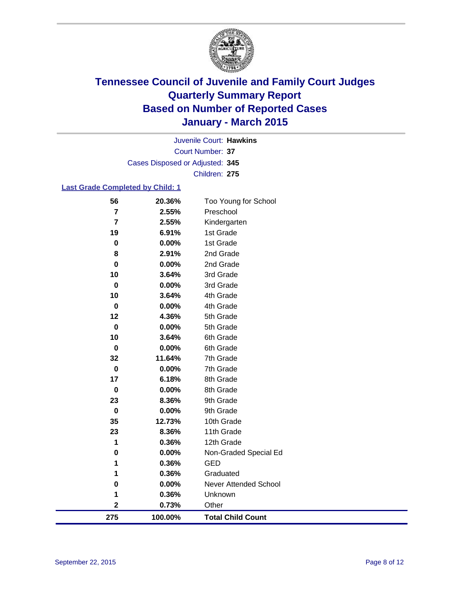

Court Number: **37** Juvenile Court: **Hawkins** Cases Disposed or Adjusted: **345** Children: **275**

### **Last Grade Completed by Child: 1**

| 56                      | 20.36%  | Too Young for School     |
|-------------------------|---------|--------------------------|
| $\overline{\mathbf{r}}$ | 2.55%   | Preschool                |
| $\overline{7}$          | 2.55%   | Kindergarten             |
| 19                      | 6.91%   | 1st Grade                |
| $\bf{0}$                | 0.00%   | 1st Grade                |
| 8                       | 2.91%   | 2nd Grade                |
| $\mathbf 0$             | 0.00%   | 2nd Grade                |
| 10                      | 3.64%   | 3rd Grade                |
| 0                       | 0.00%   | 3rd Grade                |
| 10                      | 3.64%   | 4th Grade                |
| 0                       | 0.00%   | 4th Grade                |
| 12                      | 4.36%   | 5th Grade                |
| 0                       | 0.00%   | 5th Grade                |
| 10                      | 3.64%   | 6th Grade                |
| $\bf{0}$                | 0.00%   | 6th Grade                |
| 32                      | 11.64%  | 7th Grade                |
| 0                       | 0.00%   | 7th Grade                |
| 17                      | 6.18%   | 8th Grade                |
| 0                       | 0.00%   | 8th Grade                |
| 23                      | 8.36%   | 9th Grade                |
| $\pmb{0}$               | 0.00%   | 9th Grade                |
| 35                      | 12.73%  | 10th Grade               |
| 23                      | 8.36%   | 11th Grade               |
| 1                       | 0.36%   | 12th Grade               |
| $\bf{0}$                | 0.00%   | Non-Graded Special Ed    |
| 1                       | 0.36%   | <b>GED</b>               |
| 1                       | 0.36%   | Graduated                |
| $\bf{0}$                | 0.00%   | Never Attended School    |
| 1                       | 0.36%   | Unknown                  |
| $\mathbf 2$             | 0.73%   | Other                    |
| 275                     | 100.00% | <b>Total Child Count</b> |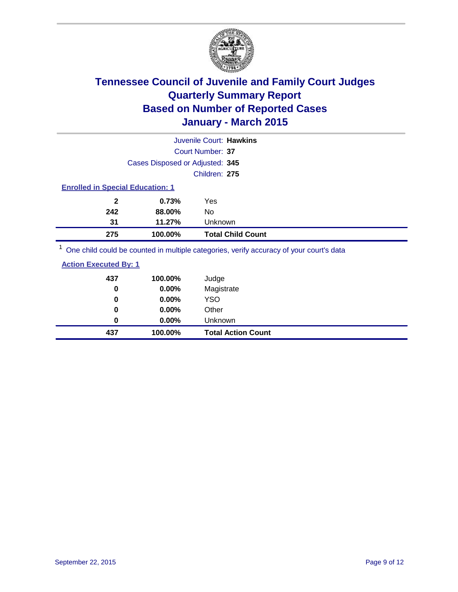

|                                                                                          |                                 | Juvenile Court: Hawkins                                                                                         |                                                                                                                 |
|------------------------------------------------------------------------------------------|---------------------------------|-----------------------------------------------------------------------------------------------------------------|-----------------------------------------------------------------------------------------------------------------|
|                                                                                          |                                 | Court Number: 37                                                                                                |                                                                                                                 |
|                                                                                          | Cases Disposed or Adjusted: 345 |                                                                                                                 |                                                                                                                 |
|                                                                                          |                                 | Children: 275                                                                                                   |                                                                                                                 |
| <b>Enrolled in Special Education: 1</b>                                                  |                                 |                                                                                                                 |                                                                                                                 |
| $\mathbf{2}$                                                                             | 0.73%                           | Yes                                                                                                             |                                                                                                                 |
| 242                                                                                      | 88.00%                          | No                                                                                                              |                                                                                                                 |
| 31                                                                                       | 11.27%                          | <b>Unknown</b>                                                                                                  |                                                                                                                 |
| 275                                                                                      | 100.00%                         | <b>Total Child Count</b>                                                                                        |                                                                                                                 |
| $1 -$<br>the contract of the contract of the contract of the contract of the contract of |                                 | 그 그 사이 그 사이 그 사이 그 사이 사이에게 이 사이 시간이 되어 있는 것이 아니라 그 사이에 대해 있는 것이 없어요. 그 사이 사이 사이 사이 사이 시간이 있는 것이 없어요. 그 사이 사이 사이 | and the state of the state of the state of the state of the state of the state of the state of the state of the |

One child could be counted in multiple categories, verify accuracy of your court's data

| <b>Action Executed By: 1</b> |  |
|------------------------------|--|
|                              |  |

| 437 | 100.00%  | Judge                     |
|-----|----------|---------------------------|
| 0   | 0.00%    | Magistrate                |
| 0   | 0.00%    | <b>YSO</b>                |
| 0   | $0.00\%$ | Other                     |
| 0   | $0.00\%$ | Unknown                   |
| 437 | 100.00%  | <b>Total Action Count</b> |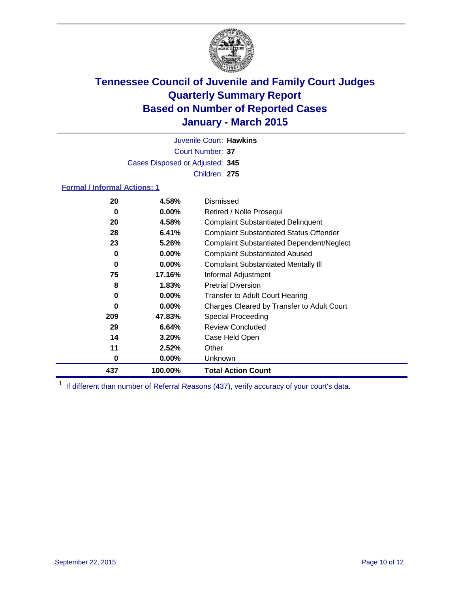

Court Number: **37** Juvenile Court: **Hawkins** Cases Disposed or Adjusted: **345** Children: **275**

### **Formal / Informal Actions: 1**

| 20  | 4.58%    | Dismissed                                        |
|-----|----------|--------------------------------------------------|
| 0   | $0.00\%$ | Retired / Nolle Prosequi                         |
| 20  | 4.58%    | <b>Complaint Substantiated Delinquent</b>        |
| 28  | 6.41%    | <b>Complaint Substantiated Status Offender</b>   |
| 23  | 5.26%    | <b>Complaint Substantiated Dependent/Neglect</b> |
| 0   | 0.00%    | <b>Complaint Substantiated Abused</b>            |
| 0   | $0.00\%$ | <b>Complaint Substantiated Mentally III</b>      |
| 75  | 17.16%   | Informal Adjustment                              |
| 8   | 1.83%    | <b>Pretrial Diversion</b>                        |
| 0   | $0.00\%$ | <b>Transfer to Adult Court Hearing</b>           |
| 0   | $0.00\%$ | Charges Cleared by Transfer to Adult Court       |
| 209 | 47.83%   | Special Proceeding                               |
| 29  | 6.64%    | <b>Review Concluded</b>                          |
| 14  | 3.20%    | Case Held Open                                   |
| 11  | 2.52%    | Other                                            |
| 0   | $0.00\%$ | <b>Unknown</b>                                   |
| 437 | 100.00%  | <b>Total Action Count</b>                        |

<sup>1</sup> If different than number of Referral Reasons (437), verify accuracy of your court's data.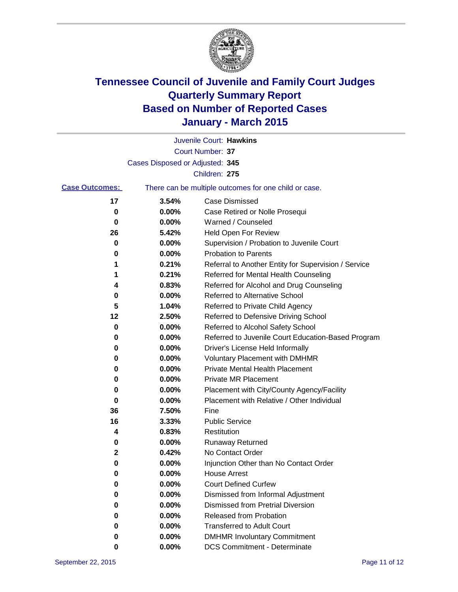

|                       |                                 | Juvenile Court: Hawkins                               |
|-----------------------|---------------------------------|-------------------------------------------------------|
|                       |                                 | Court Number: 37                                      |
|                       | Cases Disposed or Adjusted: 345 |                                                       |
|                       |                                 | Children: 275                                         |
| <b>Case Outcomes:</b> |                                 | There can be multiple outcomes for one child or case. |
| 17                    | 3.54%                           | <b>Case Dismissed</b>                                 |
| 0                     | 0.00%                           | Case Retired or Nolle Prosequi                        |
| 0                     | 0.00%                           | Warned / Counseled                                    |
| 26                    | 5.42%                           | Held Open For Review                                  |
| 0                     | 0.00%                           | Supervision / Probation to Juvenile Court             |
| 0                     | 0.00%                           | <b>Probation to Parents</b>                           |
| 1                     | 0.21%                           | Referral to Another Entity for Supervision / Service  |
| 1                     | 0.21%                           | Referred for Mental Health Counseling                 |
| 4                     | 0.83%                           | Referred for Alcohol and Drug Counseling              |
| 0                     | 0.00%                           | <b>Referred to Alternative School</b>                 |
| 5                     | 1.04%                           | Referred to Private Child Agency                      |
| 12                    | 2.50%                           | Referred to Defensive Driving School                  |
| 0                     | 0.00%                           | Referred to Alcohol Safety School                     |
| 0                     | 0.00%                           | Referred to Juvenile Court Education-Based Program    |
| 0                     | 0.00%                           | Driver's License Held Informally                      |
| 0                     | 0.00%                           | <b>Voluntary Placement with DMHMR</b>                 |
| 0                     | 0.00%                           | <b>Private Mental Health Placement</b>                |
| 0                     | 0.00%                           | <b>Private MR Placement</b>                           |
| 0                     | 0.00%                           | Placement with City/County Agency/Facility            |
| 0                     | 0.00%                           | Placement with Relative / Other Individual            |
| 36                    | 7.50%                           | Fine                                                  |
| 16                    | 3.33%                           | <b>Public Service</b>                                 |
| 4                     | 0.83%                           | Restitution                                           |
| 0                     | 0.00%                           | <b>Runaway Returned</b>                               |
| 2                     | 0.42%                           | No Contact Order                                      |
| 0                     | 0.00%                           | Injunction Other than No Contact Order                |
| o                     | 0.00%                           | <b>House Arrest</b>                                   |
| 0                     | 0.00%                           | <b>Court Defined Curfew</b>                           |
| 0                     | 0.00%                           | Dismissed from Informal Adjustment                    |
| 0                     | 0.00%                           | Dismissed from Pretrial Diversion                     |
| 0                     | 0.00%                           | Released from Probation                               |
| 0                     | 0.00%                           | <b>Transferred to Adult Court</b>                     |
| 0                     | 0.00%                           | <b>DMHMR Involuntary Commitment</b>                   |
| 0                     | 0.00%                           | <b>DCS Commitment - Determinate</b>                   |